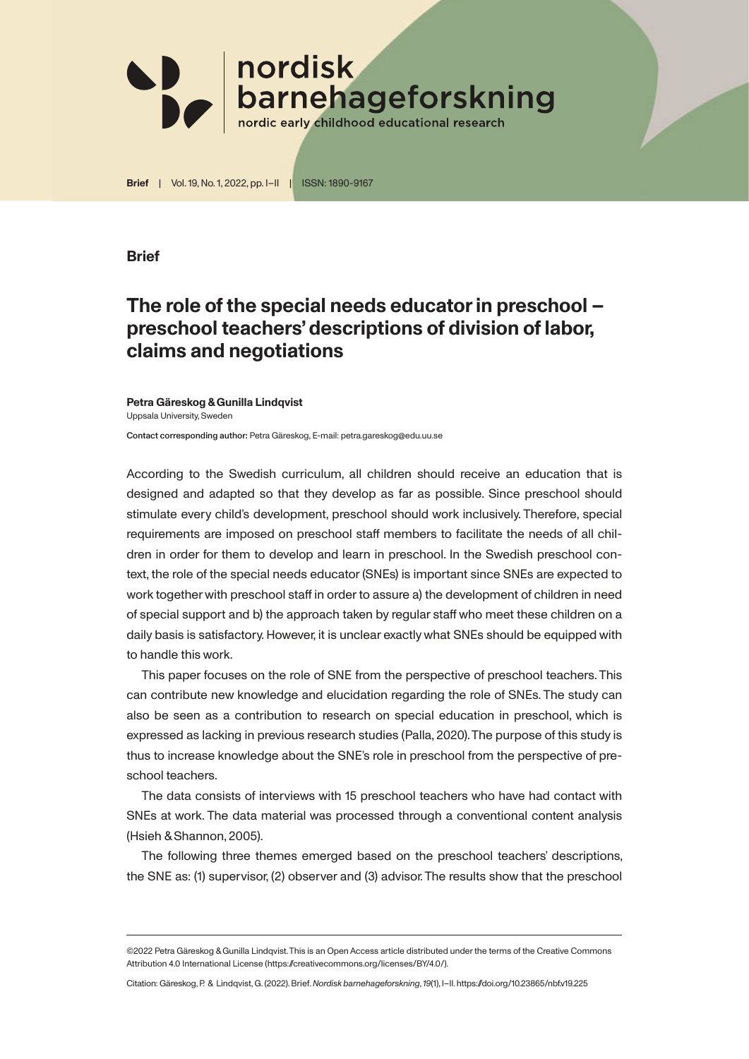

**Brief** | Vol. 19, No. 1, 2022, pp. I–II | ISSN: 1890-9167

## **Brief**

## **The role of the special needs educator in preschool – preschool teachers' descriptions of division of labor, claims and negotiations**

## **Petra Gäreskog & Gunilla Lindqvist** Uppsala University, Sweden

Contact corresponding author: Petra Gäreskog, E-mail: petra.gareskog@edu.uu.se

According to the Swedish curriculum, all children should receive an education that is designed and adapted so that they develop as far as possible. Since preschool should stimulate every child's development, preschool should work inclusively. Therefore, special requirements are imposed on preschool staff members to facilitate the needs of all children in order for them to develop and learn in preschool. In the Swedish preschool context, the role of the special needs educator (SNEs) is important since SNEs are expected to work together with preschool staff in order to assure a) the development of children in need of special support and b) the approach taken by regular staff who meet these children on a daily basis is satisfactory. However, it is unclear exactly what SNEs should be equipped with to handle this work.

This paper focuses on the role of SNE from the perspective of preschool teachers. This can contribute new knowledge and elucidation regarding the role of SNEs. The study can also be seen as a contribution to research on special education in preschool, which is expressed as lacking in previous research studies (Palla, 2020). The purpose of this study is thus to increase knowledge about the SNE's role in preschool from the perspective of preschool teachers.

The data consists of interviews with 15 preschool teachers who have had contact with SNEs at work. The data material was processed through a conventional content analysis (Hsieh & Shannon, 2005).

The following three themes emerged based on the preschool teachers' descriptions, the SNE as: (1) supervisor, (2) observer and (3) advisor. The results show that the preschool

<sup>©2022</sup> Petra Gäreskog & Gunilla Lindqvist. This is an Open Access article distributed under the terms of the Creative Commons Attribution 4.0 International License (https://creativecommons.org/licenses/BY/4.0/).